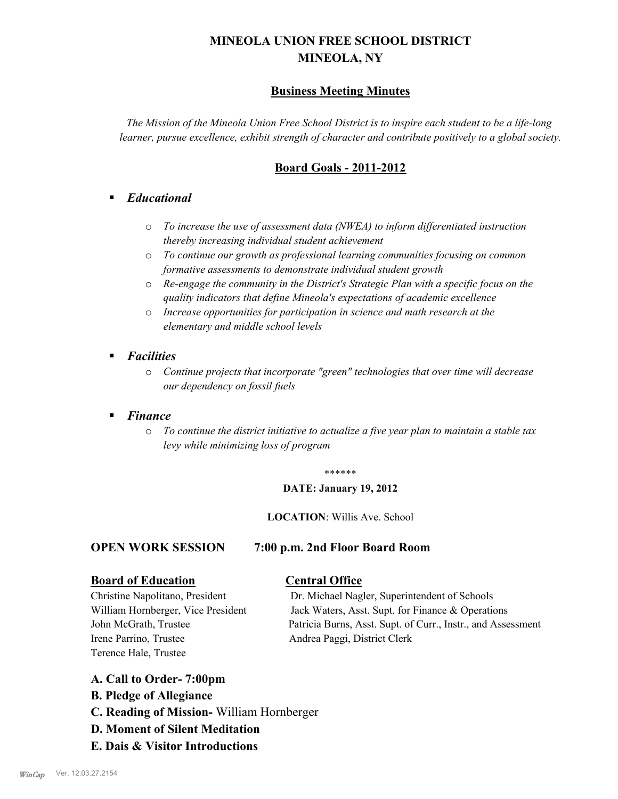# **MINEOLA UNION FREE SCHOOL DISTRICT MINEOLA, NY**

# **Business Meeting Minutes**

*The Mission of the Mineola Union Free School District is to inspire each student to be a life-long learner, pursue excellence, exhibit strength of character and contribute positively to a global society.*

# **Board Goals - 2011-2012**

# § *Educational*

- o *To increase the use of assessment data (NWEA) to inform differentiated instruction thereby increasing individual student achievement*
- o *To continue our growth as professional learning communities focusing on common formative assessments to demonstrate individual student growth*
- o *Re-engage the community in the District's Strategic Plan with a specific focus on the quality indicators that define Mineola's expectations of academic excellence*
- o *Increase opportunities for participation in science and math research at the elementary and middle school levels*
- *Facilities* 
	- o *Continue projects that incorporate "green" technologies that over time will decrease our dependency on fossil fuels*

# § *Finance*

o *To continue the district initiative to actualize a five year plan to maintain a stable tax levy while minimizing loss of program*

### \*\*\*\*\*\*

### **DATE: January 19, 2012**

### **LOCATION**: Willis Ave. School

## **OPEN WORK SESSION 7:00 p.m. 2nd Floor Board Room**

# **Board of Education Central Office**

Irene Parrino, Trustee Andrea Paggi, District Clerk Terence Hale, Trustee

Christine Napolitano, President Dr. Michael Nagler, Superintendent of Schools William Hornberger, Vice President Jack Waters, Asst. Supt. for Finance & Operations John McGrath, Trustee Patricia Burns, Asst. Supt. of Curr., Instr., and Assessment

## **A. Call to Order- 7:00pm**

- **B. Pledge of Allegiance**
- **C. Reading of Mission-** William Hornberger
- **D. Moment of Silent Meditation**
- **E. Dais & Visitor Introductions**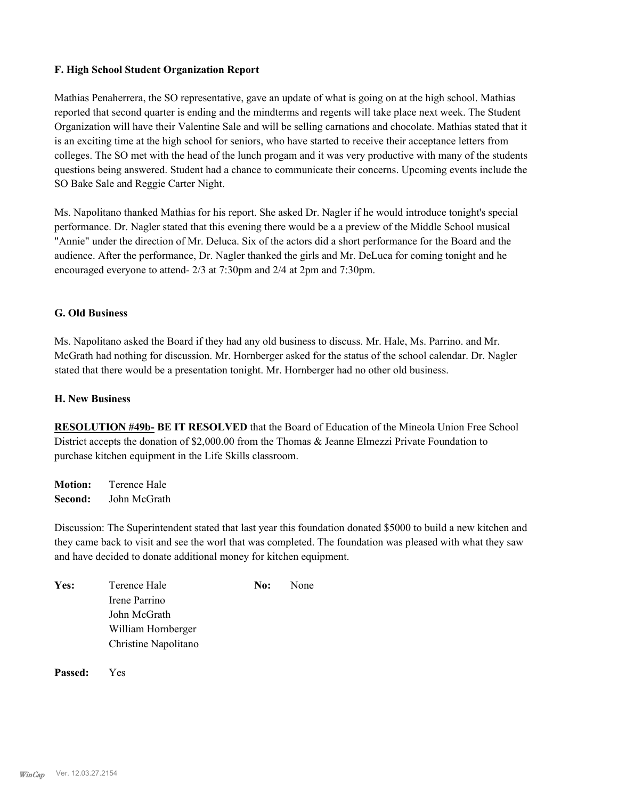## **F. High School Student Organization Report**

Mathias Penaherrera, the SO representative, gave an update of what is going on at the high school. Mathias reported that second quarter is ending and the mindterms and regents will take place next week. The Student Organization will have their Valentine Sale and will be selling carnations and chocolate. Mathias stated that it is an exciting time at the high school for seniors, who have started to receive their acceptance letters from colleges. The SO met with the head of the lunch progam and it was very productive with many of the students questions being answered. Student had a chance to communicate their concerns. Upcoming events include the SO Bake Sale and Reggie Carter Night.

Ms. Napolitano thanked Mathias for his report. She asked Dr. Nagler if he would introduce tonight's special performance. Dr. Nagler stated that this evening there would be a a preview of the Middle School musical "Annie" under the direction of Mr. Deluca. Six of the actors did a short performance for the Board and the audience. After the performance, Dr. Nagler thanked the girls and Mr. DeLuca for coming tonight and he encouraged everyone to attend- 2/3 at 7:30pm and 2/4 at 2pm and 7:30pm.

## **G. Old Business**

Ms. Napolitano asked the Board if they had any old business to discuss. Mr. Hale, Ms. Parrino. and Mr. McGrath had nothing for discussion. Mr. Hornberger asked for the status of the school calendar. Dr. Nagler stated that there would be a presentation tonight. Mr. Hornberger had no other old business.

### **H. New Business**

**RESOLUTION #49b- BE IT RESOLVED** that the Board of Education of the Mineola Union Free School District accepts the donation of \$2,000.00 from the Thomas & Jeanne Elmezzi Private Foundation to purchase kitchen equipment in the Life Skills classroom.

**Motion:** Terence Hale **Second:** John McGrath

Discussion: The Superintendent stated that last year this foundation donated \$5000 to build a new kitchen and they came back to visit and see the worl that was completed. The foundation was pleased with what they saw and have decided to donate additional money for kitchen equipment.

| Yes: | Terence Hale         | No: | None |
|------|----------------------|-----|------|
|      | Irene Parrino        |     |      |
|      | John McGrath         |     |      |
|      | William Hornberger   |     |      |
|      | Christine Napolitano |     |      |
|      |                      |     |      |

**Passed:** Yes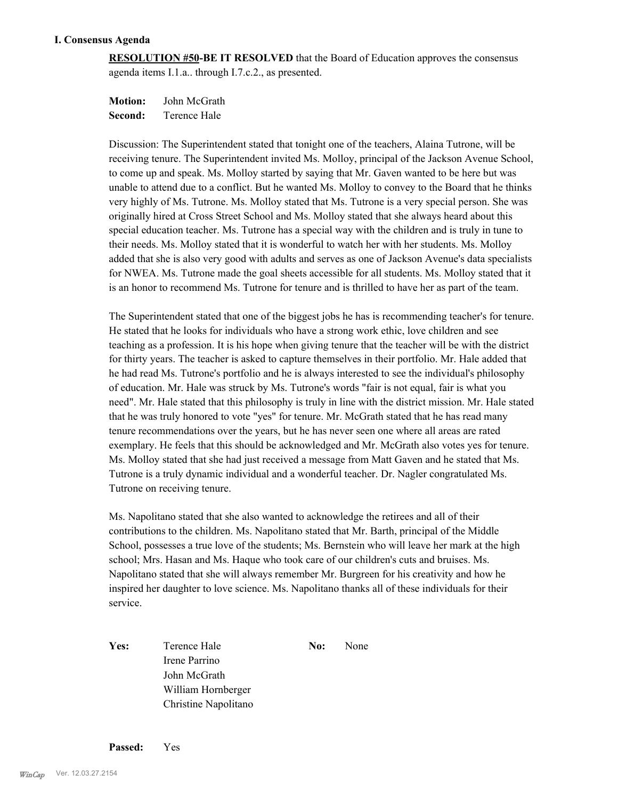### **I. Consensus Agenda**

**RESOLUTION #50-BE IT RESOLVED** that the Board of Education approves the consensus agenda items I.1.a.. through I.7.c.2., as presented.

**Motion:** John McGrath **Second:** Terence Hale

Discussion: The Superintendent stated that tonight one of the teachers, Alaina Tutrone, will be receiving tenure. The Superintendent invited Ms. Molloy, principal of the Jackson Avenue School, to come up and speak. Ms. Molloy started by saying that Mr. Gaven wanted to be here but was unable to attend due to a conflict. But he wanted Ms. Molloy to convey to the Board that he thinks very highly of Ms. Tutrone. Ms. Molloy stated that Ms. Tutrone is a very special person. She was originally hired at Cross Street School and Ms. Molloy stated that she always heard about this special education teacher. Ms. Tutrone has a special way with the children and is truly in tune to their needs. Ms. Molloy stated that it is wonderful to watch her with her students. Ms. Molloy added that she is also very good with adults and serves as one of Jackson Avenue's data specialists for NWEA. Ms. Tutrone made the goal sheets accessible for all students. Ms. Molloy stated that it is an honor to recommend Ms. Tutrone for tenure and is thrilled to have her as part of the team.

The Superintendent stated that one of the biggest jobs he has is recommending teacher's for tenure. He stated that he looks for individuals who have a strong work ethic, love children and see teaching as a profession. It is his hope when giving tenure that the teacher will be with the district for thirty years. The teacher is asked to capture themselves in their portfolio. Mr. Hale added that he had read Ms. Tutrone's portfolio and he is always interested to see the individual's philosophy of education. Mr. Hale was struck by Ms. Tutrone's words "fair is not equal, fair is what you need". Mr. Hale stated that this philosophy is truly in line with the district mission. Mr. Hale stated that he was truly honored to vote "yes" for tenure. Mr. McGrath stated that he has read many tenure recommendations over the years, but he has never seen one where all areas are rated exemplary. He feels that this should be acknowledged and Mr. McGrath also votes yes for tenure. Ms. Molloy stated that she had just received a message from Matt Gaven and he stated that Ms. Tutrone is a truly dynamic individual and a wonderful teacher. Dr. Nagler congratulated Ms. Tutrone on receiving tenure.

Ms. Napolitano stated that she also wanted to acknowledge the retirees and all of their contributions to the children. Ms. Napolitano stated that Mr. Barth, principal of the Middle School, possesses a true love of the students; Ms. Bernstein who will leave her mark at the high school; Mrs. Hasan and Ms. Haque who took care of our children's cuts and bruises. Ms. Napolitano stated that she will always remember Mr. Burgreen for his creativity and how he inspired her daughter to love science. Ms. Napolitano thanks all of these individuals for their service.

Yes: Terence Hale **No:** None Irene Parrino John McGrath William Hornberger Christine Napolitano

**Passed:** Yes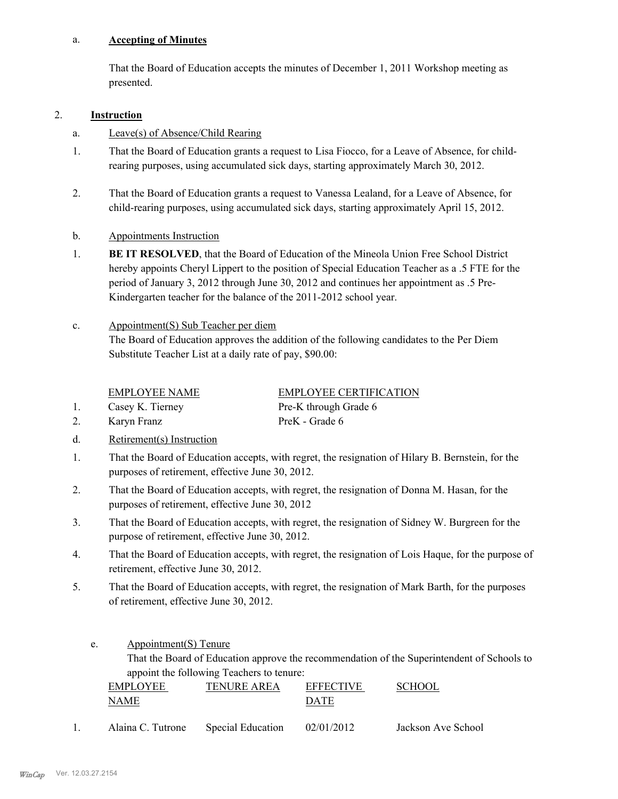#### **Accepting of Minutes** a.

That the Board of Education accepts the minutes of December 1, 2011 Workshop meeting as presented.

### 2. **Instruction**

- a. Leave(s) of Absence/Child Rearing
- That the Board of Education grants a request to Lisa Fiocco, for a Leave of Absence, for childrearing purposes, using accumulated sick days, starting approximately March 30, 2012. 1.
- That the Board of Education grants a request to Vanessa Lealand, for a Leave of Absence, for child-rearing purposes, using accumulated sick days, starting approximately April 15, 2012. 2.
- b. Appointments Instruction
- **BE IT RESOLVED**, that the Board of Education of the Mineola Union Free School District hereby appoints Cheryl Lippert to the position of Special Education Teacher as a .5 FTE for the period of January 3, 2012 through June 30, 2012 and continues her appointment as .5 Pre-Kindergarten teacher for the balance of the 2011-2012 school year. 1.
- Appointment(S) Sub Teacher per diem The Board of Education approves the addition of the following candidates to the Per Diem Substitute Teacher List at a daily rate of pay, \$90.00: c.

EMPLOYEE NAME EMPLOYEE CERTIFICATION

1. Casey K. Tierney Pre-K through Grade 6

2. Karyn Franz PreK - Grade 6

d. Retirement(s) Instruction

That the Board of Education accepts, with regret, the resignation of Hilary B. Bernstein, for the purposes of retirement, effective June 30, 2012. 1.

- That the Board of Education accepts, with regret, the resignation of Donna M. Hasan, for the purposes of retirement, effective June 30, 2012 2.
- That the Board of Education accepts, with regret, the resignation of Sidney W. Burgreen for the purpose of retirement, effective June 30, 2012. 3.
- That the Board of Education accepts, with regret, the resignation of Lois Haque, for the purpose of retirement, effective June 30, 2012. 4.
- That the Board of Education accepts, with regret, the resignation of Mark Barth, for the purposes of retirement, effective June 30, 2012. 5.
	- Appointment(S) Tenure That the Board of Education approve the recommendation of the Superintendent of Schools to appoint the following Teachers to tenure: e.

| <b>EMPLOYEE</b> | <b>TENURE AREA</b> | <b>EFFECTIVE</b> | <b>SCHOOL</b> |
|-----------------|--------------------|------------------|---------------|
| NAME            |                    | DATE             |               |
|                 |                    |                  |               |

1. Alaina C. Tutrone Special Education 02/01/2012 Jackson Ave School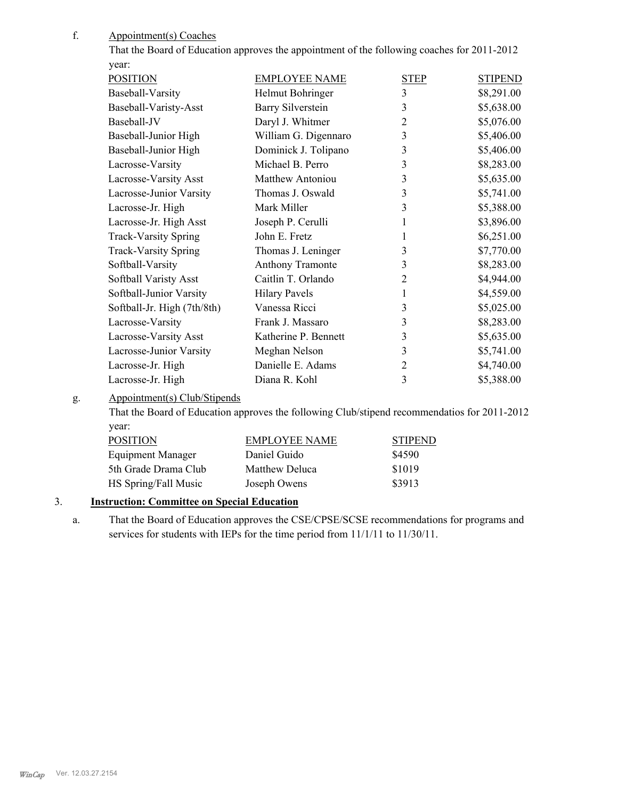Appointment(s) Coaches f.

> That the Board of Education approves the appointment of the following coaches for 2011-2012 year:

| <b>POSITION</b>             | <b>EMPLOYEE NAME</b>     | <b>STEP</b>    | <b>STIPEND</b> |
|-----------------------------|--------------------------|----------------|----------------|
| Baseball-Varsity            | Helmut Bohringer         | $\overline{3}$ | \$8,291.00     |
| Baseball-Varisty-Asst       | <b>Barry Silverstein</b> | 3              | \$5,638.00     |
| Baseball-JV                 | Daryl J. Whitmer         | 2              | \$5,076.00     |
| Baseball-Junior High        | William G. Digennaro     | 3              | \$5,406.00     |
| Baseball-Junior High        | Dominick J. Tolipano     | 3              | \$5,406.00     |
| Lacrosse-Varsity            | Michael B. Perro         | 3              | \$8,283.00     |
| Lacrosse-Varsity Asst       | <b>Matthew Antoniou</b>  | 3              | \$5,635.00     |
| Lacrosse-Junior Varsity     | Thomas J. Oswald         | 3              | \$5,741.00     |
| Lacrosse-Jr. High           | Mark Miller              | 3              | \$5,388.00     |
| Lacrosse-Jr. High Asst      | Joseph P. Cerulli        | 1              | \$3,896.00     |
| <b>Track-Varsity Spring</b> | John E. Fretz            | 1              | \$6,251.00     |
| <b>Track-Varsity Spring</b> | Thomas J. Leninger       | 3              | \$7,770.00     |
| Softball-Varsity            | Anthony Tramonte         | 3              | \$8,283.00     |
| Softball Varisty Asst       | Caitlin T. Orlando       | 2              | \$4,944.00     |
| Softball-Junior Varsity     | <b>Hilary Pavels</b>     | 1              | \$4,559.00     |
| Softball-Jr. High (7th/8th) | Vanessa Ricci            | 3              | \$5,025.00     |
| Lacrosse-Varsity            | Frank J. Massaro         | 3              | \$8,283.00     |
| Lacrosse-Varsity Asst       | Katherine P. Bennett     | 3              | \$5,635.00     |
| Lacrosse-Junior Varsity     | Meghan Nelson            | 3              | \$5,741.00     |
| Lacrosse-Jr. High           | Danielle E. Adams        | 2              | \$4,740.00     |
| Lacrosse-Jr. High           | Diana R. Kohl            | 3              | \$5,388.00     |
|                             |                          |                |                |

Appointment(s) Club/Stipends g.

That the Board of Education approves the following Club/stipend recommendatios for 2011-2012 year:

| <b>POSITION</b>      | <b>EMPLOYEE NAME</b> | <b>STIPEND</b> |
|----------------------|----------------------|----------------|
| Equipment Manager    | Daniel Guido         | \$4590         |
| 5th Grade Drama Club | Matthew Deluca       | \$1019         |
| HS Spring/Fall Music | Joseph Owens         | \$3913         |

# 3. **Instruction: Committee on Special Education**

That the Board of Education approves the CSE/CPSE/SCSE recommendations for programs and services for students with IEPs for the time period from 11/1/11 to 11/30/11. a.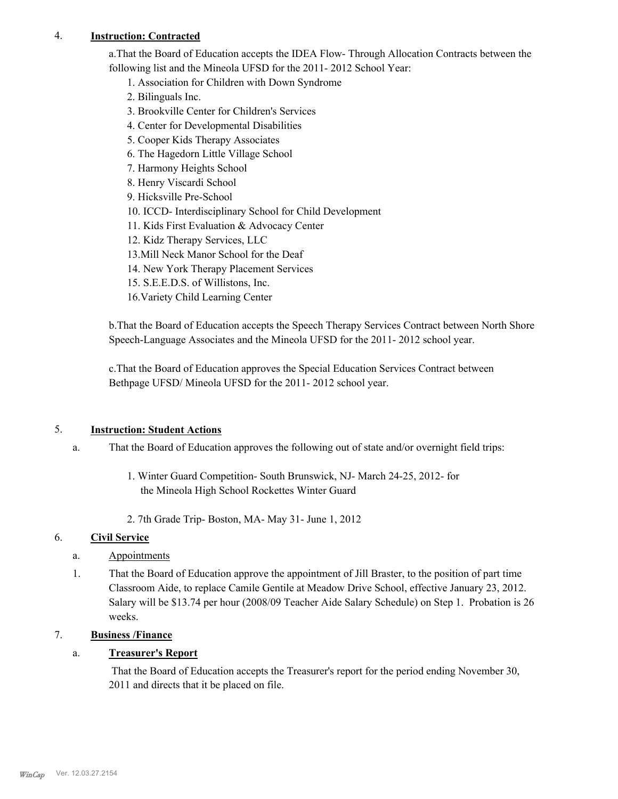# 4. **Instruction: Contracted**

a.That the Board of Education accepts the IDEA Flow- Through Allocation Contracts between the following list and the Mineola UFSD for the 2011- 2012 School Year:

- 1. Association for Children with Down Syndrome
- 2. Bilinguals Inc.
- 3. Brookville Center for Children's Services
- 4. Center for Developmental Disabilities
- 5. Cooper Kids Therapy Associates
- 6. The Hagedorn Little Village School
- 7. Harmony Heights School
- 8. Henry Viscardi School
- 9. Hicksville Pre-School
- 10. ICCD- Interdisciplinary School for Child Development
- 11. Kids First Evaluation & Advocacy Center
- 12. Kidz Therapy Services, LLC
- 13.Mill Neck Manor School for the Deaf
- 14. New York Therapy Placement Services
- 15. S.E.E.D.S. of Willistons, Inc.
- 16.Variety Child Learning Center

b.That the Board of Education accepts the Speech Therapy Services Contract between North Shore Speech-Language Associates and the Mineola UFSD for the 2011- 2012 school year.

c.That the Board of Education approves the Special Education Services Contract between Bethpage UFSD/ Mineola UFSD for the 2011- 2012 school year.

# 5. **Instruction: Student Actions**

- That the Board of Education approves the following out of state and/or overnight field trips: a.
	- 1. Winter Guard Competition- South Brunswick, NJ- March 24-25, 2012- for the Mineola High School Rockettes Winter Guard
	- 2. 7th Grade Trip- Boston, MA- May 31- June 1, 2012

## 6. **Civil Service**

- a. Appointments
- That the Board of Education approve the appointment of Jill Braster, to the position of part time Classroom Aide, to replace Camile Gentile at Meadow Drive School, effective January 23, 2012. Salary will be \$13.74 per hour (2008/09 Teacher Aide Salary Schedule) on Step 1. Probation is 26 weeks. 1.

# 7. **Business /Finance**

## a. **Treasurer's Report**

 That the Board of Education accepts the Treasurer's report for the period ending November 30, 2011 and directs that it be placed on file.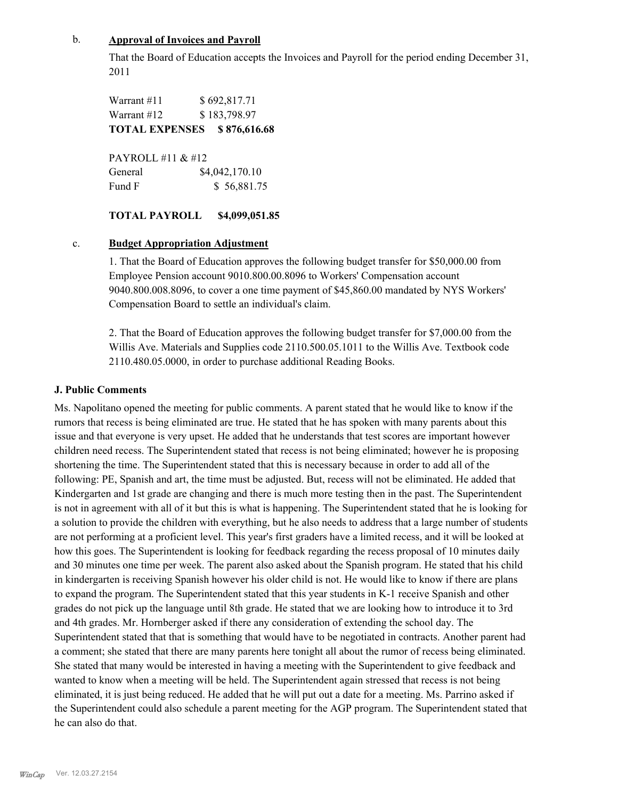## b. **Approval of Invoices and Payroll**

That the Board of Education accepts the Invoices and Payroll for the period ending December 31, 2011

Warrant #11 \$ 692,817.71 Warrant #12 \$ 183,798.97 **TOTAL EXPENSES \$ 876,616.68**

| PAYROLL #11 & #12 |                |
|-------------------|----------------|
| General           | \$4,042,170.10 |
| Fund F            | \$56,881.75    |

### **TOTAL PAYROLL \$4,099,051.85**

### c. **Budget Appropriation Adjustment**

1. That the Board of Education approves the following budget transfer for \$50,000.00 from Employee Pension account 9010.800.00.8096 to Workers' Compensation account 9040.800.008.8096, to cover a one time payment of \$45,860.00 mandated by NYS Workers' Compensation Board to settle an individual's claim.

2. That the Board of Education approves the following budget transfer for \$7,000.00 from the Willis Ave. Materials and Supplies code 2110.500.05.1011 to the Willis Ave. Textbook code 2110.480.05.0000, in order to purchase additional Reading Books.

## **J. Public Comments**

Ms. Napolitano opened the meeting for public comments. A parent stated that he would like to know if the rumors that recess is being eliminated are true. He stated that he has spoken with many parents about this issue and that everyone is very upset. He added that he understands that test scores are important however children need recess. The Superintendent stated that recess is not being eliminated; however he is proposing shortening the time. The Superintendent stated that this is necessary because in order to add all of the following: PE, Spanish and art, the time must be adjusted. But, recess will not be eliminated. He added that Kindergarten and 1st grade are changing and there is much more testing then in the past. The Superintendent is not in agreement with all of it but this is what is happening. The Superintendent stated that he is looking for a solution to provide the children with everything, but he also needs to address that a large number of students are not performing at a proficient level. This year's first graders have a limited recess, and it will be looked at how this goes. The Superintendent is looking for feedback regarding the recess proposal of 10 minutes daily and 30 minutes one time per week. The parent also asked about the Spanish program. He stated that his child in kindergarten is receiving Spanish however his older child is not. He would like to know if there are plans to expand the program. The Superintendent stated that this year students in K-1 receive Spanish and other grades do not pick up the language until 8th grade. He stated that we are looking how to introduce it to 3rd and 4th grades. Mr. Hornberger asked if there any consideration of extending the school day. The Superintendent stated that that is something that would have to be negotiated in contracts. Another parent had a comment; she stated that there are many parents here tonight all about the rumor of recess being eliminated. She stated that many would be interested in having a meeting with the Superintendent to give feedback and wanted to know when a meeting will be held. The Superintendent again stressed that recess is not being eliminated, it is just being reduced. He added that he will put out a date for a meeting. Ms. Parrino asked if the Superintendent could also schedule a parent meeting for the AGP program. The Superintendent stated that he can also do that.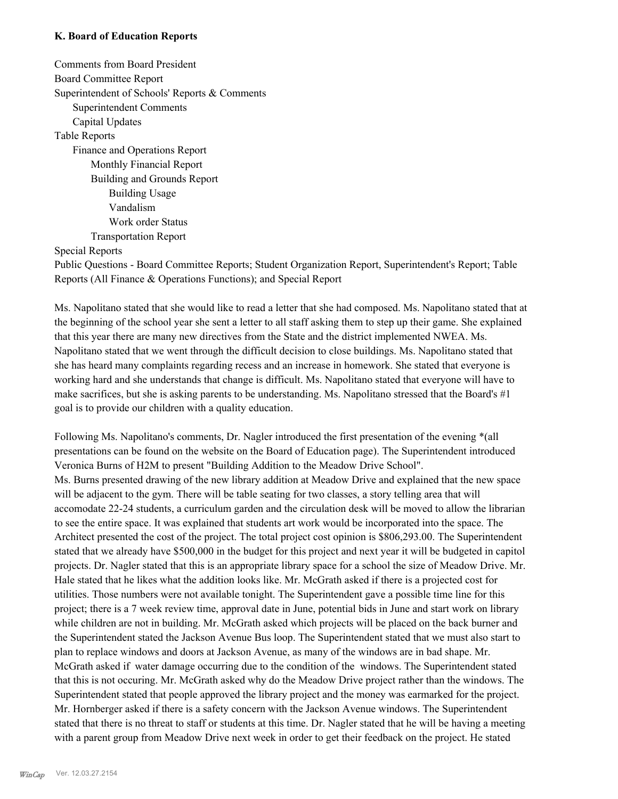### **K. Board of Education Reports**

Comments from Board President Board Committee Report Superintendent of Schools' Reports & Comments Superintendent Comments Capital Updates Table Reports Finance and Operations Report Monthly Financial Report Building and Grounds Report Building Usage Vandalism Work order Status Transportation Report

Special Reports

Public Questions - Board Committee Reports; Student Organization Report, Superintendent's Report; Table Reports (All Finance & Operations Functions); and Special Report

Ms. Napolitano stated that she would like to read a letter that she had composed. Ms. Napolitano stated that at the beginning of the school year she sent a letter to all staff asking them to step up their game. She explained that this year there are many new directives from the State and the district implemented NWEA. Ms. Napolitano stated that we went through the difficult decision to close buildings. Ms. Napolitano stated that she has heard many complaints regarding recess and an increase in homework. She stated that everyone is working hard and she understands that change is difficult. Ms. Napolitano stated that everyone will have to make sacrifices, but she is asking parents to be understanding. Ms. Napolitano stressed that the Board's #1 goal is to provide our children with a quality education.

Following Ms. Napolitano's comments, Dr. Nagler introduced the first presentation of the evening \*(all presentations can be found on the website on the Board of Education page). The Superintendent introduced Veronica Burns of H2M to present "Building Addition to the Meadow Drive School". Ms. Burns presented drawing of the new library addition at Meadow Drive and explained that the new space will be adjacent to the gym. There will be table seating for two classes, a story telling area that will accomodate 22-24 students, a curriculum garden and the circulation desk will be moved to allow the librarian to see the entire space. It was explained that students art work would be incorporated into the space. The Architect presented the cost of the project. The total project cost opinion is \$806,293.00. The Superintendent stated that we already have \$500,000 in the budget for this project and next year it will be budgeted in capitol projects. Dr. Nagler stated that this is an appropriate library space for a school the size of Meadow Drive. Mr. Hale stated that he likes what the addition looks like. Mr. McGrath asked if there is a projected cost for utilities. Those numbers were not available tonight. The Superintendent gave a possible time line for this project; there is a 7 week review time, approval date in June, potential bids in June and start work on library while children are not in building. Mr. McGrath asked which projects will be placed on the back burner and the Superintendent stated the Jackson Avenue Bus loop. The Superintendent stated that we must also start to plan to replace windows and doors at Jackson Avenue, as many of the windows are in bad shape. Mr. McGrath asked if water damage occurring due to the condition of the windows. The Superintendent stated that this is not occuring. Mr. McGrath asked why do the Meadow Drive project rather than the windows. The Superintendent stated that people approved the library project and the money was earmarked for the project. Mr. Hornberger asked if there is a safety concern with the Jackson Avenue windows. The Superintendent stated that there is no threat to staff or students at this time. Dr. Nagler stated that he will be having a meeting with a parent group from Meadow Drive next week in order to get their feedback on the project. He stated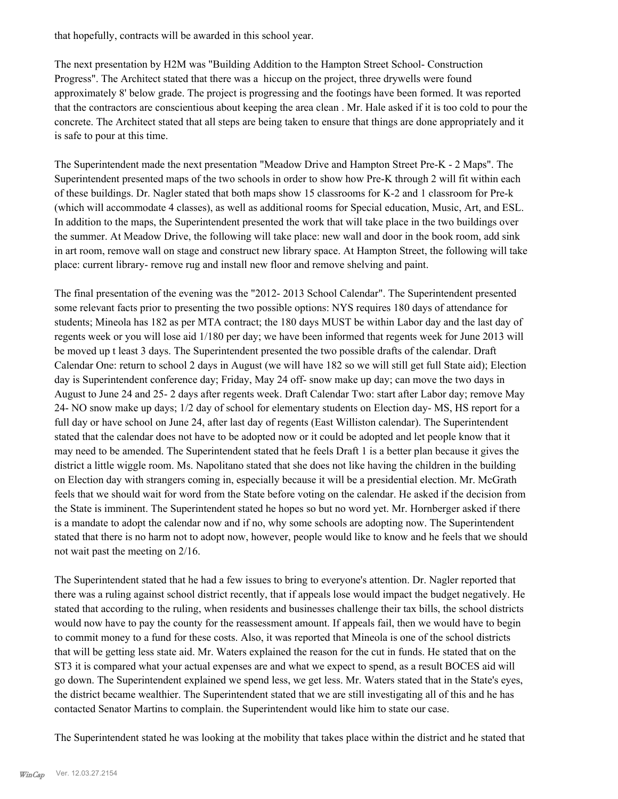that hopefully, contracts will be awarded in this school year.

The next presentation by H2M was "Building Addition to the Hampton Street School- Construction Progress". The Architect stated that there was a hiccup on the project, three drywells were found approximately 8' below grade. The project is progressing and the footings have been formed. It was reported that the contractors are conscientious about keeping the area clean . Mr. Hale asked if it is too cold to pour the concrete. The Architect stated that all steps are being taken to ensure that things are done appropriately and it is safe to pour at this time.

The Superintendent made the next presentation "Meadow Drive and Hampton Street Pre-K - 2 Maps". The Superintendent presented maps of the two schools in order to show how Pre-K through 2 will fit within each of these buildings. Dr. Nagler stated that both maps show 15 classrooms for K-2 and 1 classroom for Pre-k (which will accommodate 4 classes), as well as additional rooms for Special education, Music, Art, and ESL. In addition to the maps, the Superintendent presented the work that will take place in the two buildings over the summer. At Meadow Drive, the following will take place: new wall and door in the book room, add sink in art room, remove wall on stage and construct new library space. At Hampton Street, the following will take place: current library- remove rug and install new floor and remove shelving and paint.

The final presentation of the evening was the "2012- 2013 School Calendar". The Superintendent presented some relevant facts prior to presenting the two possible options: NYS requires 180 days of attendance for students; Mineola has 182 as per MTA contract; the 180 days MUST be within Labor day and the last day of regents week or you will lose aid 1/180 per day; we have been informed that regents week for June 2013 will be moved up t least 3 days. The Superintendent presented the two possible drafts of the calendar. Draft Calendar One: return to school 2 days in August (we will have 182 so we will still get full State aid); Election day is Superintendent conference day; Friday, May 24 off- snow make up day; can move the two days in August to June 24 and 25- 2 days after regents week. Draft Calendar Two: start after Labor day; remove May 24- NO snow make up days; 1/2 day of school for elementary students on Election day- MS, HS report for a full day or have school on June 24, after last day of regents (East Williston calendar). The Superintendent stated that the calendar does not have to be adopted now or it could be adopted and let people know that it may need to be amended. The Superintendent stated that he feels Draft 1 is a better plan because it gives the district a little wiggle room. Ms. Napolitano stated that she does not like having the children in the building on Election day with strangers coming in, especially because it will be a presidential election. Mr. McGrath feels that we should wait for word from the State before voting on the calendar. He asked if the decision from the State is imminent. The Superintendent stated he hopes so but no word yet. Mr. Hornberger asked if there is a mandate to adopt the calendar now and if no, why some schools are adopting now. The Superintendent stated that there is no harm not to adopt now, however, people would like to know and he feels that we should not wait past the meeting on 2/16.

The Superintendent stated that he had a few issues to bring to everyone's attention. Dr. Nagler reported that there was a ruling against school district recently, that if appeals lose would impact the budget negatively. He stated that according to the ruling, when residents and businesses challenge their tax bills, the school districts would now have to pay the county for the reassessment amount. If appeals fail, then we would have to begin to commit money to a fund for these costs. Also, it was reported that Mineola is one of the school districts that will be getting less state aid. Mr. Waters explained the reason for the cut in funds. He stated that on the ST3 it is compared what your actual expenses are and what we expect to spend, as a result BOCES aid will go down. The Superintendent explained we spend less, we get less. Mr. Waters stated that in the State's eyes, the district became wealthier. The Superintendent stated that we are still investigating all of this and he has contacted Senator Martins to complain. the Superintendent would like him to state our case.

The Superintendent stated he was looking at the mobility that takes place within the district and he stated that